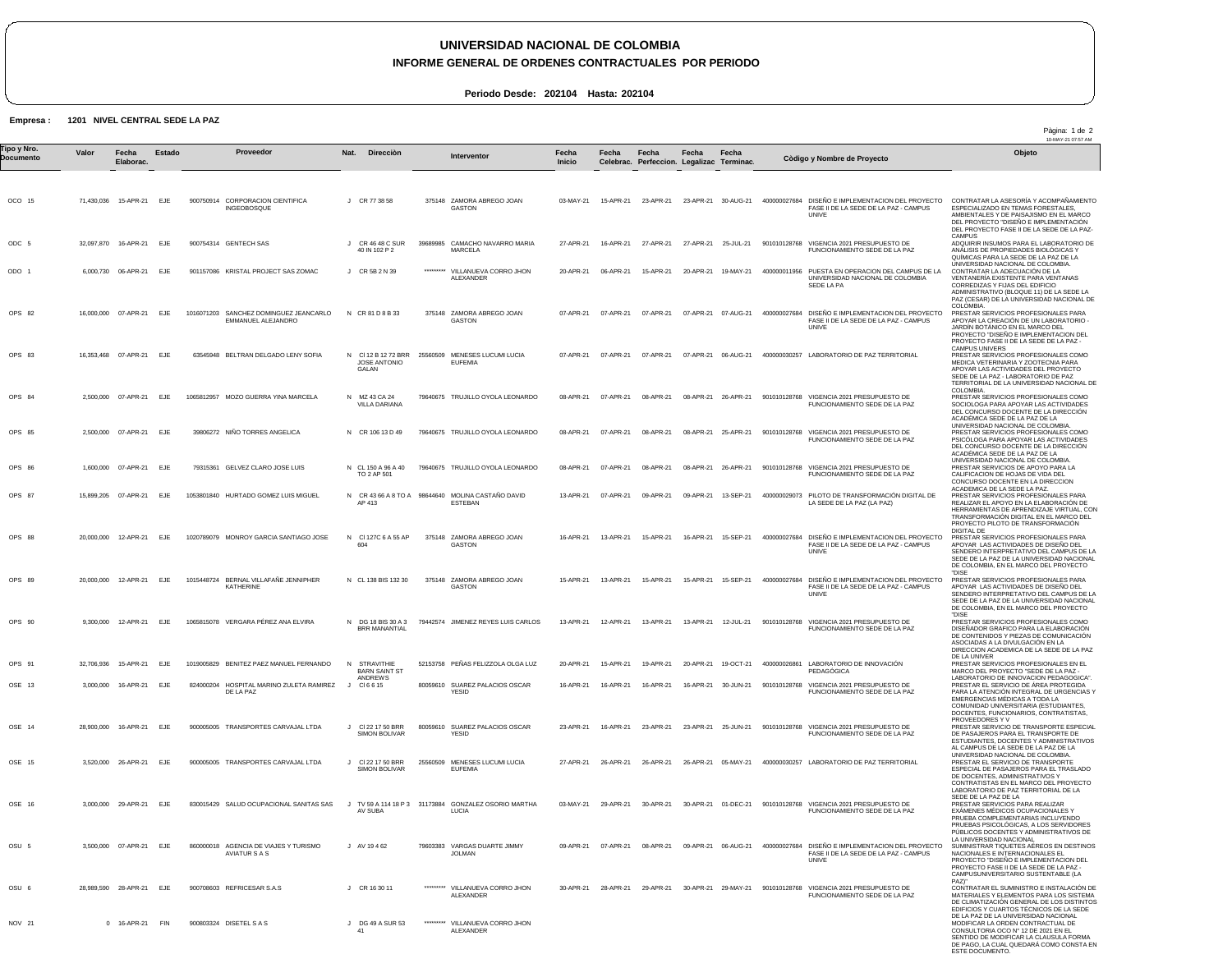# **UNIVERSIDAD NACIONAL DE COLOMBIA**

### **INFORME GENERAL DE ORDENES CONTRACTUALES POR PERIODO**

**Periodo Desde: 202104 Hasta: 202104**

#### **Empresa : 1201 NIVEL CENTRAL SEDE LA PAZ**

|                          |       |                          |            |          |                                                                |          |                                                      |           |                                                                      |                 |           |                                                    |           |                     |              |                                                                                                            | ayına. 1 u s<br>10-MAY-21 07:57 AM                                                                                                                                                                                                                                  |
|--------------------------|-------|--------------------------|------------|----------|----------------------------------------------------------------|----------|------------------------------------------------------|-----------|----------------------------------------------------------------------|-----------------|-----------|----------------------------------------------------|-----------|---------------------|--------------|------------------------------------------------------------------------------------------------------------|---------------------------------------------------------------------------------------------------------------------------------------------------------------------------------------------------------------------------------------------------------------------|
| Tipo y Nro.<br>Documento | Valor | Fecha<br>Elaborac.       | Estado     |          | Proveedor                                                      | Nat.     | Direcciòn                                            |           | Interventor                                                          | Fecha<br>Inicio | Fecha     | Fecha<br>Celebrac. Perfeccion. Legalizac Terminac. | Fecha     | Fecha               |              | Còdigo y Nombre de Proyecto                                                                                | Objeto                                                                                                                                                                                                                                                              |
|                          |       |                          |            |          |                                                                |          |                                                      |           |                                                                      |                 |           |                                                    |           |                     |              |                                                                                                            |                                                                                                                                                                                                                                                                     |
| OCO 15                   |       | 71.430.036 15-APR-21 EJE |            |          | 900750914 CORPORACION CIENTIFICA<br><b>INGEOBOSQUE</b>         |          | J CR 77 38 58                                        |           | 375148 ZAMORA ABREGO JOAN<br>GASTON                                  | 03-MAY-21       | 15-APR-21 | 23-APR-21                                          |           | 23-APR-21 30-AUG-21 |              | 400000027684 DISEÑO E IMPLEMENTACION DEL PROYECTO<br>FASE II DE LA SEDE DE LA PAZ - CAMPUS<br>UNIVE        | CONTRATAR LA ASESORÍA Y ACOMPAÑAMIENTO<br>ESPECIALIZADO EN TEMAS FORESTALES.<br>AMBIENTALES Y DE PAISAJISMO EN EL MARCO<br>DEL PROYECTO "DISEÑO E IMPLEMENTACIÓN<br>DEL PROYECTO FASE II DE LA SEDE DE LA PAZ-                                                      |
| ODC 5                    |       | 32,097,870 16-APR-21 EJE |            |          | 900754314 GENTECH SAS                                          |          | J CR 46 48 C SUR<br>40 IN 102 P 2                    |           | 39689985 CAMACHO NAVARRO MARIA<br>MARCELA                            | 27-APR-21       | 16-APR-21 | 27-APR-21                                          |           | 27-APR-21 25-JUL-21 |              | 901010128768 VIGENCIA 2021 PRESUPUESTO DE<br>FUNCIONAMIENTO SEDE DE LA PAZ                                 | <b>CAMPUS</b><br>ADQUIRIR INSUMOS PARA EL LABORATORIO DE<br>ANALISIS DE PROPIEDADES BIOLÓGICAS Y<br>QUÍMICAS PARA LA SEDE DE LA PAZ DE LA                                                                                                                           |
| ODO 1                    |       | 6,000,730 06-APR-21      | EJE        |          | 901157086 KRISTAL PROJECT SAS ZOMAC                            |          | CR 5B 2 N 39                                         | ********* | VILLANUEVA CORRO JHON<br>ALEXANDER                                   | 20-APR-21       | 06-APR-21 | 15-APR-21                                          | 20-APR-21 | 19-MAY-21           |              | 400000011956 PUESTA EN OPERACION DEL CAMPUS DE LA<br>UNIVERSIDAD NACIONAL DE COLOMBIA<br>SEDE LA PA        | UNIVERSIDAD NACIONAL DE COLOMBIA.<br>CONTRATAR LA ADECUACIÓN DE LA<br>VENTANERÍA EXISTENTE PARA VENTANAS<br>CORREDIZAS Y FIJAS DEL EDIFICIO<br>ADMINISTRATIVO (BLOQUE 11) DE LA SEDE LA<br>PAZ (CESAR) DE LA UNIVERSIDAD NACIONAL DE                                |
| OPS 82                   |       | 16,000,000 07-APR-21     | EJE        |          | 1016071203 SANCHEZ DOMINGUEZ JEANCARLO<br>EMMANUEL ALEJANDRO   |          | N CR 81 D 8 B 33                                     |           | 375148 ZAMORA ABREGO JOAN<br>GASTON                                  | 07-APR-21       | 07-APR-21 | 07-APR-21                                          |           | 07-APR-21 07-AUG-21 |              | 400000027684 DISEÑO E IMPLEMENTACION DEL PROYECTO<br>FASE II DE LA SEDE DE LA PAZ - CAMPUS<br><b>UNIVE</b> | COLOMBIA.<br>PRESTAR SERVICIOS PROFESIONALES PARA<br>APOYAR LA CREACIÓN DE UN LABORATORIO -<br>JARDIN BOTANICO EN EL MARCO DEL<br>PROYECTO "DISENO E IMPLEMENTACION DEL<br>PROYECTO FASE II DE LA SEDE DE LA PAZ -                                                  |
| OPS 83                   |       | 16.353.468 07-APR-21 EJE |            |          | 63545948 BELTRAN DELGADO LENY SOFIA                            | N        | JOSE ANTONIO<br>GALAN                                |           | CI 12 B 12 72 BRR 25560509 MENESES LUCUMI LUCIA<br><b>EUFEMIA</b>    | 07-APR-21       |           | 07-APR-21 07-APR-21                                |           | 07-APR-21 06-AUG-21 |              | 400000030257 LABORATORIO DE PAZ TERRITORIAL                                                                | <b>CAMPUS UNIVERS</b><br>PRESTAR SERVICIOS PROFESIONALES COMO<br>MEDICA VETERINARIA Y ZOOTECNIA PARA<br>APOYAR LAS ACTIVIDADES DEL PROYECTO<br>SEDE DE LA PAZ - LABORATORIO DE PAZ<br>TERRITORIAL DE LA UNIVERSIDAD NACIONAL DE                                     |
| OPS 84                   |       | 2.500.000 07-APR-21      | EJE        |          | 1065812957 MOZO GUERRA YINA MARCELA                            |          | N MZ 43 CA 24<br>VILLA DARIANA                       |           | 79640675 TRUJILLO OYOLA LEONARDO                                     | 08-APR-21       | 07-APR-21 | 08-APR-21                                          |           | 08-APR-21 26-APR-21 |              | 901010128768 VIGENCIA 2021 PRESUPUESTO DE<br>FUNCIONAMIENTO SEDE DE LA PAZ                                 | <b>COLOMBIA</b><br>PRESTAR SERVICIOS PROFESIONALES COMO<br>SOCIOLOGA PARA APOYAR LAS ACTIVIDADES<br>DEL CONCURSO DOCENTE DE LA DIRECCIÓN<br>ACADÉMICA SEDE DE LA PAZ DE LA                                                                                          |
| OPS 85                   |       | 2,500,000 07-APR-21 EJE  |            |          | 39806272 NIÑO TORRES ANGELICA                                  |          | N CR 106 13 D 49                                     |           | 79640675 TRUJILLO OYOLA LEONARDO                                     | 08-APR-21       | 07-APR-21 | 08-APR-21                                          | 08-APR-21 | 25-APR-21           |              | 901010128768 VIGENCIA 2021 PRESUPUESTO DE<br>FUNCIONAMIENTO SEDE DE LA PAZ                                 | UNIVERSIDAD NACIONAL DE COLOMBIA<br>PRESTAR SERVICIOS PROFESIONALES COMO<br>PSICOLOGA PARA APOYAR LAS ACTIVIDADES<br>DEL CONCURSO DOCENTE DE LA DIRECCIÓN<br>ACADÉMICA SEDE DE LA PAZ DE LA                                                                         |
| OPS 86                   |       | 1,600,000 07-APR-21      | EJE        | 79315361 | GELVEZ CLARO JOSE LUIS                                         |          | N CL 150 A 96 A 40<br>TO 2 AP 501                    |           | 79640675 TRUJILLO OYOLA LEONARDO                                     | 08-APR-21       | 07-APR-21 | 08-APR-21                                          | 08-APR-21 | 26-APR-21           |              | 901010128768 VIGENCIA 2021 PRESUPUESTO DE<br>FUNCIONAMIENTO SEDE DE LA PAZ                                 | UNIVERSIDAD NACIONAL DE COLOMBIA<br>PRESTAR SERVICIOS DE APOYO PARA LA<br>CALIFICACION DE HOJAS DE VIDA DEL<br>CONCURSO DOCENTE EN LA DIRECCION                                                                                                                     |
| <b>OPS 87</b>            |       | 15,899,205 07-APR-21     | EJE        |          | 1053801840 HURTADO GOMEZ LUIS MIGUEL                           |          | N CR 43 66 A 8 TO A<br>AP 413                        |           | 98644640 MOLINA CASTAÑO DAVID<br><b>ESTEBAN</b>                      | 13-APR-21       | 07-APR-21 | 09-APR-21                                          | 09-APR-21 | 13-SEP-21           |              | 400000029073 PILOTO DE TRANSFORMACIÓN DIGITAL DE<br>LA SEDE DE LA PAZ (LA PAZ)                             | ACADEMICA DE LA SEDE LA PAZ.<br>PRESTAR SERVICIOS PROFESIONALES PARA<br>REALIZAR EL APOYO EN LA ELABORACION DE<br>HERRAMIENTAS DE APRENDIZAJE VIRTUAL, CON<br>TRANSFORMACIÓN DIGITAL EN EL MARCO DEL<br>PROYECTO PILOTO DE TRANSFORMACIÓN                           |
| OPS 88                   |       | 20,000,000 12-APR-21 EJE |            |          | 1020789079 MONROY GARCIA SANTIAGO JOSE                         | N<br>604 | CI 127C 6 A 55 AP                                    |           | 375148 ZAMORA ABREGO JOAN<br>GASTON                                  | 16-APR-21       | 13-APR-21 | 15-APR-21                                          | 16-APR-21 | 15-SEP-21           |              | 400000027684 DISEÑO E IMPLEMENTACION DEL PROYECTO<br>FASE II DE LA SEDE DE LA PAZ - CAMPUS<br>UNIVE        | <b>DIGITAL DE</b><br>PRESTAR SERVICIOS PROFESIONALES PARA<br>APOYAR LAS ACTIVIDADES DE DISENO DEL<br>SENDERO INTERPRETATIVO DEL CAMPUS DE LA<br>SEDE DE LA PAZ DE LA UNIVERSIDAD NACIONAL<br>DE COLOMBIA, EN EL MARCO DEL PROYECTO                                  |
| OPS 89                   |       | 20,000,000 12-APR-21     | EJE        |          | 1015448724 BERNAL VILLAFAÑE JENNIPHER<br>KATHERINE             |          | N CL 138 BIS 132 30                                  |           | 375148 ZAMORA ABREGO JOAN<br>GASTON                                  | 15-APR-21       | 13-APR-21 | 15-APR-21                                          | 15-APR-21 | 15-SEP-21           |              | 400000027684 DISEÑO E IMPLEMENTACION DEL PROYECTO<br>FASE II DE LA SEDE DE LA PAZ - CAMPUS<br><b>UNIVE</b> | "DISE<br>PRESTAR SERVICIOS PROFESIONALES PARA<br>APOYAR LAS ACTIVIDADES DE DISENO DEL<br>SENDERO INTERPRETATIVO DEL CAMPUS DE LA<br>SEDE DE LA PAZ DE LA UNIVERSIDAD NACIONAL<br>DE COLOMBIA. EN EL MARCO DEL PROYECTO                                              |
| OPS 90                   |       | 9,300,000 12-APR-21      | EJE        |          | 1065815078 VERGARA PÉREZ ANA ELVIRA                            |          | N DG 18 BIS 30 A 3<br>BRR MANANTIAL                  |           | 79442574 JIMENEZ REYES LUIS CARLOS                                   | 13-APR-21       | 12-APR-21 | 13-APR-21                                          | 13-APR-21 | 12-JUL-21           |              | 901010128768 VIGENCIA 2021 PRESUPUESTO DE<br>FUNCIONAMIENTO SEDE DE LA PAZ                                 | "DISE<br>PRESTAR SERVICIOS PROFESIONALES COMO<br>DISEÑADOR GRAFICO PARA LA ELABORACIÓN<br>DE CONTENIDOS Y PIEZAS DE COMUNICACIÓN<br>ASOCIADAS A LA DIVULGACIÓN EN LA<br>DIRECCION ACADEMICA DE LA SEDE DE LA PAZ                                                    |
| OPS 91                   |       | 32,706,936 15-APR-21 EJE |            |          | 1019005829 BENITEZ PAEZ MANUEL FERNANDO                        | N        | STRAVITHIE<br><b>BARN SAINT ST</b><br><b>ANDREWS</b> |           | 52153758 PEÑAS FELIZZOLA OLGA LUZ                                    | 20-APR-21       | 15-APR-21 | 19-APR-21                                          |           | 20-APR-21 19-OCT-21 | 400000026861 | LABORATORIO DE INNOVACIÓN<br><b>PEDAGÓGICA</b>                                                             | DE LA UNIVER<br>PRESTAR SERVICIOS PROFESIONALES EN EL<br>MARCO DEL PROYECTO "SEDE DE LA PAZ -<br>LABORATORIO DE INNOVACION PEDAGOGICA"                                                                                                                              |
| OSE 13                   |       | 3,000,000 16-APR-21 EJE  |            |          | 824000204 HOSPITAL MARINO ZULETA RAMIREZ J CI6615<br>DE LA PAZ |          |                                                      |           | 80059610 SUAREZ PALACIOS OSCAR<br><b>YESID</b>                       | 16-APR-21       | 16-APR-21 | 16-APR-21                                          |           | 16-APR-21 30-JUN-21 |              | 901010128768 VIGENCIA 2021 PRESUPUESTO DE<br>FUNCIONAMIENTO SEDE DE LA PAZ                                 | PRESTAR EL SERVICIO DE ÁREA PROTEGIDA<br>PARA LA ATENCIÓN INTEGRAL DE URGENCIAS Y<br>EMERGENCIAS MÉDICAS A TODA LA<br>COMUNIDAD UNIVERSITARIA (ESTUDIANTES,<br>DOCENTES, FUNCIONARIOS, CONTRATISTAS,                                                                |
| OSE 14                   |       | 28,900,000 16-APR-21 EJE |            |          | 900005005 TRANSPORTES CARVAJAL LTDA                            |          | J CI 22 17 50 BRR<br><b>SIMON BOLIVAR</b>            |           | 80059610 SUAREZ PALACIOS OSCAR<br>YESID                              | 23-APR-21       | 16-APR-21 | 23-APR-21                                          |           | 23-APR-21 25-JUN-21 |              | 901010128768 VIGENCIA 2021 PRESUPUESTO DE<br>FUNCIONAMIENTO SEDE DE LA PAZ                                 | PROVEEDORES Y V<br>PRESTAR SERVICIO DE TRANSPORTE ESPECIAL<br>DE PASAJEROS PARA EL TRANSPORTE DE<br>ESTUDIANTES, DOCENTES Y ADMINISTRATIVOS<br>AL CAMPUS DE LA SEDE DE LA PAZ DE LA                                                                                 |
| OSE 15                   |       | 3.520.000 26-APR-21      | <b>EJE</b> |          | 900005005 TRANSPORTES CARVAJAL LTDA                            |          | CI 22 17 50 BRR<br><b>SIMON BOLIVAR</b>              |           | 25560509 MENESES LUCUMI LUCIA<br><b>EUFEMIA</b>                      | 27-APR-21       | 26-APR-21 | 26-APR-21                                          |           |                     |              | 26-APR-21 05-MAY-21 400000030257 LABORATORIO DE PAZ TERRITORIAL                                            | UNIVERSIDAD NACIONAL DE COLOMBIA.<br>PRESTAR EL SERVICIO DE TRANSPORTE<br>ESPECIAL DE PASAJEROS PARA EL TRASLADO<br>DE DOCENTES, ADMINISTRATIVOS Y<br>CONTRATISTAS EN EL MARCO DEL PROYECTO<br>LABORATORIO DE PAZ TERRITORIAL DE LA                                 |
| OSE 16                   |       | 3,000,000 29-APR-21      | EJE        |          | 830015429 SALUD OCUPACIONAL SANITAS SAS                        |          | AV SUBA                                              |           | J TV 59 A 114 18 P 3 31173884 GONZALEZ OSORIO MARTHA<br><b>LUCIA</b> | 03-MAY-21       | 29-APR-21 | 30-APR-21                                          |           | 30-APR-21 01-DEC-21 |              | 901010128768 VIGENCIA 2021 PRESUPUESTO DE<br>FUNCIONAMIENTO SEDE DE LA PAZ                                 | SEDE DE LA PAZ DE LA<br>PRESTAR SERVICIOS PARA REALIZAR<br>EXÁMENES MÉDICOS OCUPACIONALES Y<br>PRUEBA COMPLEMENTARIAS INCLUYENDO<br>PRUEBAS PSICOLÓGICAS, A LOS SERVIDORES<br>PÚBLICOS DOCENTES Y ADMINISTRATIVOS DE                                                |
| OSU <sub>5</sub>         |       | 3,500,000 07-APR-21 EJE  |            |          | 860000018 AGENCIA DE VIAJES Y TURISMO<br><b>AVIATUR S A S</b>  |          | J AV 19462                                           |           | 79603383 VARGAS DUARTE JIMMY<br><b>JOLMAN</b>                        | 09-APR-21       | 07-APR-21 | 08-APR-21                                          |           | 09-APR-21 06-AUG-21 |              | 400000027684 DISEÑO E IMPLEMENTACION DEL PROYECTO<br>FASE II DE LA SEDE DE LA PAZ - CAMPUS<br>UNIVE        | LA UNIVERSIDAD NACIONAL<br>SUMINISTRAR TIQUETES AÉREOS EN DESTINOS<br>NACIONALES E INTERNACIONALES EL<br>PROYECTO "DISEÑO E IMPLEMENTACION DEL<br>PROYECTO FASE II DE LA SEDE DE LA PAZ -<br>CAMPUSUNIVERSITARIO SUSTENTABLE (LA                                    |
| OSU 6                    |       | 28,989,590 28-APR-21 EJE |            |          | 900708603 REFRICESAR S.A.S                                     |          | J CR 16 30 11                                        | ********* | VILLANUEVA CORRO JHON<br>ALEXANDER                                   | 30-APR-21       | 28-APR-21 | 29-APR-21                                          |           | 30-APR-21 29-MAY-21 |              | 901010128768 VIGENCIA 2021 PRESUPUESTO DE<br>FUNCIONAMIENTO SEDE DE LA PAZ                                 | PAZ)"<br>CONTRATAR EL SUMINISTRO E INSTALACIÓN DE<br>MATERIALES Y ELEMENTOS PARA LOS SISTEMA<br>DE CLIMATIZACIÓN GENERAL DE LOS DISTINTOS                                                                                                                           |
| <b>NOV 21</b>            |       | 0 16-APR-21              | FIN        |          | 900803324 DISETEL S A S                                        | 41       | DG 49 A SUR 53                                       | ********* | VILLANUEVA CORRO JHON<br><b>ALEXANDER</b>                            |                 |           |                                                    |           |                     |              |                                                                                                            | EDIFICIOS Y CUARTOS TÉCNICOS DE LA SEDE<br>DE LA PAZ DE LA UNIVERSIDAD NACIONAL<br>MODIFICAR LA ORDEN CONTRACTUAL DE<br>CONSULTORIA OCO Nº 12 DE 2021 EN EL<br>SENTIDO DE MODIFICAR LA CLAUSULA FORMA<br>DE PAGO, LA CUAL QUEDARÁ COMO CONSTA EN<br>ESTE DOCUMENTO. |

Pàgina: 1 de 2